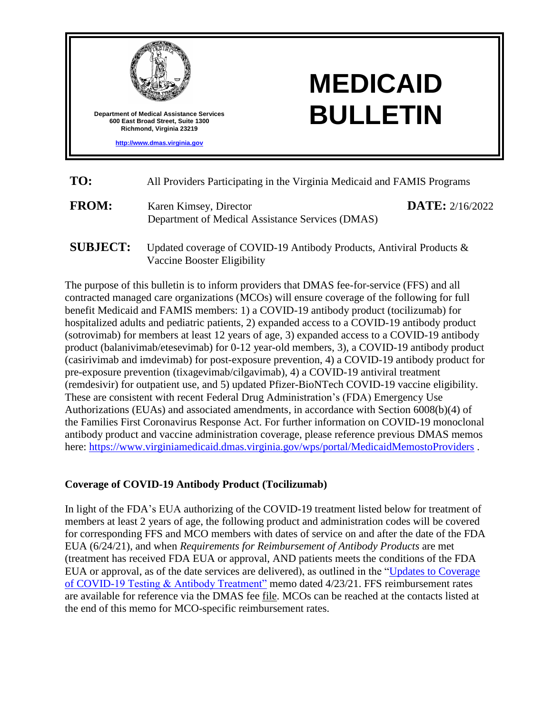

| TO:          | All Providers Participating in the Virginia Medicaid and FAMIS Programs    |                          |  |
|--------------|----------------------------------------------------------------------------|--------------------------|--|
| <b>FROM:</b> | Karen Kimsey, Director<br>Department of Medical Assistance Services (DMAS) | <b>DATE:</b> $2/16/2022$ |  |

**SUBJECT:** Updated coverage of COVID-19 Antibody Products, Antiviral Products & Vaccine Booster Eligibility

The purpose of this bulletin is to inform providers that DMAS fee-for-service (FFS) and all contracted managed care organizations (MCOs) will ensure coverage of the following for full benefit Medicaid and FAMIS members: 1) a COVID-19 antibody product (tocilizumab) for hospitalized adults and pediatric patients, 2) expanded access to a COVID-19 antibody product (sotrovimab) for members at least 12 years of age, 3) expanded access to a COVID-19 antibody product (balanivimab/etesevimab) for 0-12 year-old members, 3), a COVID-19 antibody product (casirivimab and imdevimab) for post-exposure prevention, 4) a COVID-19 antibody product for pre-exposure prevention (tixagevimab/cilgavimab), 4) a COVID-19 antiviral treatment (remdesivir) for outpatient use, and 5) updated Pfizer-BioNTech COVID-19 vaccine eligibility. These are consistent with recent Federal Drug Administration's (FDA) Emergency Use Authorizations (EUAs) and associated amendments, in accordance with Section 6008(b)(4) of the Families First Coronavirus Response Act. For further information on COVID-19 monoclonal antibody product and vaccine administration coverage, please reference previous DMAS memos here:<https://www.virginiamedicaid.dmas.virginia.gov/wps/portal/MedicaidMemostoProviders>.

#### **Coverage of COVID-19 Antibody Product (Tocilizumab)**

In light of the FDA's EUA authorizing of the COVID-19 treatment listed below for treatment of members at least 2 years of age, the following product and administration codes will be covered for corresponding FFS and MCO members with dates of service on and after the date of the FDA EUA (6/24/21), and when *Requirements for Reimbursement of Antibody Products* are met (treatment has received FDA EUA or approval, AND patients meets the conditions of the FDA EUA or approval, as of the date services are delivered), as outlined in the ["Updates to Coverage](https://www.ecm.virginiamedicaid.dmas.virginia.gov/WorkplaceXT/getContent?impersonate=true&id=%7B9FED2CFF-02F6-4BAE-ACA5-38168F37D304%7D&vsId=%7B70B6007D-0000-C647-BDDA-1840FB74E71F%7D&objectType=document&objectStoreName=VAPRODOS1)  [of COVID-19 Testing & Antibody Treatment"](https://www.ecm.virginiamedicaid.dmas.virginia.gov/WorkplaceXT/getContent?impersonate=true&id=%7B9FED2CFF-02F6-4BAE-ACA5-38168F37D304%7D&vsId=%7B70B6007D-0000-C647-BDDA-1840FB74E71F%7D&objectType=document&objectStoreName=VAPRODOS1) memo dated 4/23/21. FFS reimbursement rates are available for reference via the DMAS fee [file.](https://www.dmas.virginia.gov/#/searchcptcodes) MCOs can be reached at the contacts listed at the end of this memo for MCO-specific reimbursement rates.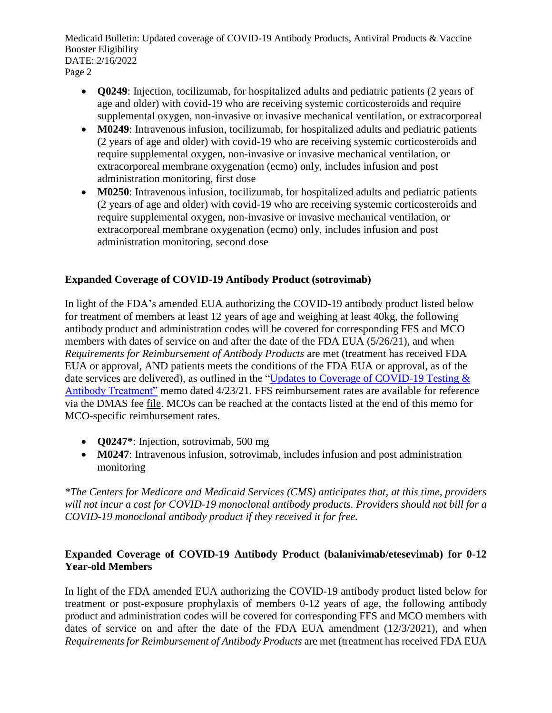- **Q0249**: Injection, tocilizumab, for hospitalized adults and pediatric patients (2 years of age and older) with covid-19 who are receiving systemic corticosteroids and require supplemental oxygen, non-invasive or invasive mechanical ventilation, or extracorporeal
- **M0249**: Intravenous infusion, tocilizumab, for hospitalized adults and pediatric patients (2 years of age and older) with covid-19 who are receiving systemic corticosteroids and require supplemental oxygen, non-invasive or invasive mechanical ventilation, or extracorporeal membrane oxygenation (ecmo) only, includes infusion and post administration monitoring, first dose
- **M0250**: Intravenous infusion, tocilizumab, for hospitalized adults and pediatric patients (2 years of age and older) with covid-19 who are receiving systemic corticosteroids and require supplemental oxygen, non-invasive or invasive mechanical ventilation, or extracorporeal membrane oxygenation (ecmo) only, includes infusion and post administration monitoring, second dose

# **Expanded Coverage of COVID-19 Antibody Product (sotrovimab)**

In light of the FDA's amended EUA authorizing the COVID-19 antibody product listed below for treatment of members at least 12 years of age and weighing at least 40kg, the following antibody product and administration codes will be covered for corresponding FFS and MCO members with dates of service on and after the date of the FDA EUA (5/26/21), and when *Requirements for Reimbursement of Antibody Products* are met (treatment has received FDA EUA or approval, AND patients meets the conditions of the FDA EUA or approval, as of the date services are delivered), as outlined in the "Updates to Coverage of COVID-19 Testing & [Antibody Treatment"](https://www.ecm.virginiamedicaid.dmas.virginia.gov/WorkplaceXT/getContent?impersonate=true&id=%7B9FED2CFF-02F6-4BAE-ACA5-38168F37D304%7D&vsId=%7B70B6007D-0000-C647-BDDA-1840FB74E71F%7D&objectType=document&objectStoreName=VAPRODOS1) memo dated 4/23/21. FFS reimbursement rates are available for reference via the DMAS fee [file.](https://www.dmas.virginia.gov/#/searchcptcodes) MCOs can be reached at the contacts listed at the end of this memo for MCO-specific reimbursement rates.

- **Q0247\***: Injection, sotrovimab, 500 mg
- **M0247**: Intravenous infusion, sotrovimab, includes infusion and post administration monitoring

*\*The Centers for Medicare and Medicaid Services (CMS) anticipates that, at this time, providers will not incur a cost for COVID-19 monoclonal antibody products. Providers should not bill for a COVID-19 monoclonal antibody product if they received it for free.* 

# **Expanded Coverage of COVID-19 Antibody Product (balanivimab/etesevimab) for 0-12 Year-old Members**

In light of the FDA amended EUA authorizing the COVID-19 antibody product listed below for treatment or post-exposure prophylaxis of members 0-12 years of age, the following antibody product and administration codes will be covered for corresponding FFS and MCO members with dates of service on and after the date of the FDA EUA amendment (12/3/2021), and when *Requirements for Reimbursement of Antibody Products* are met (treatment has received FDA EUA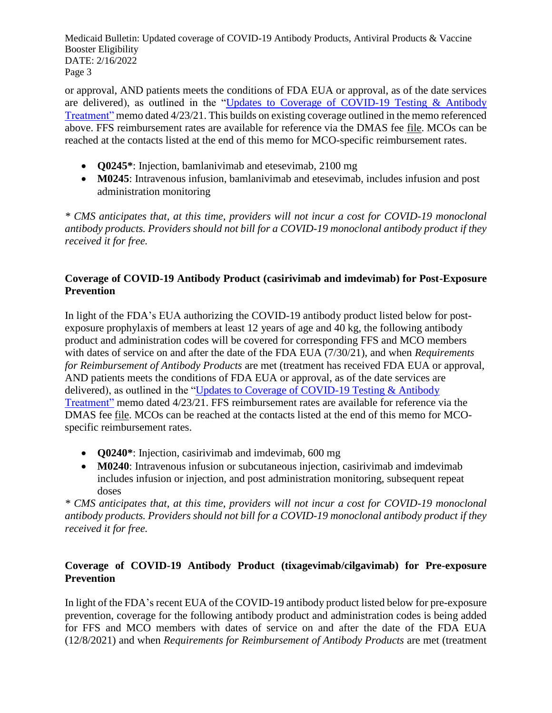or approval, AND patients meets the conditions of FDA EUA or approval, as of the date services are delivered), as outlined in the ["Updates to Coverage of COVID-19 Testing & Antibody](https://www.ecm.virginiamedicaid.dmas.virginia.gov/WorkplaceXT/getContent?impersonate=true&id=%7B9FED2CFF-02F6-4BAE-ACA5-38168F37D304%7D&vsId=%7B70B6007D-0000-C647-BDDA-1840FB74E71F%7D&objectType=document&objectStoreName=VAPRODOS1)  [Treatment"](https://www.ecm.virginiamedicaid.dmas.virginia.gov/WorkplaceXT/getContent?impersonate=true&id=%7B9FED2CFF-02F6-4BAE-ACA5-38168F37D304%7D&vsId=%7B70B6007D-0000-C647-BDDA-1840FB74E71F%7D&objectType=document&objectStoreName=VAPRODOS1) memo dated 4/23/21. This builds on existing coverage outlined in the memo referenced above. FFS reimbursement rates are available for reference via the DMAS fee [file.](https://www.dmas.virginia.gov/#/searchcptcodes) MCOs can be reached at the contacts listed at the end of this memo for MCO-specific reimbursement rates.

- **Q0245\***: Injection, bamlanivimab and etesevimab, 2100 mg
- M0245: Intravenous infusion, bamlanivimab and etesevimab, includes infusion and post administration monitoring

*\* CMS anticipates that, at this time, providers will not incur a cost for COVID-19 monoclonal antibody products. Providers should not bill for a COVID-19 monoclonal antibody product if they received it for free.* 

### **Coverage of COVID-19 Antibody Product (casirivimab and imdevimab) for Post-Exposure Prevention**

In light of the FDA's EUA authorizing the COVID-19 antibody product listed below for postexposure prophylaxis of members at least 12 years of age and 40 kg, the following antibody product and administration codes will be covered for corresponding FFS and MCO members with dates of service on and after the date of the FDA EUA (7/30/21), and when *Requirements for Reimbursement of Antibody Products* are met (treatment has received FDA EUA or approval, AND patients meets the conditions of FDA EUA or approval, as of the date services are delivered), as outlined in the ["Updates to Coverage of COVID-19 Testing & Antibody](https://www.ecm.virginiamedicaid.dmas.virginia.gov/WorkplaceXT/getContent?impersonate=true&id=%7B9FED2CFF-02F6-4BAE-ACA5-38168F37D304%7D&vsId=%7B70B6007D-0000-C647-BDDA-1840FB74E71F%7D&objectType=document&objectStoreName=VAPRODOS1)  [Treatment"](https://www.ecm.virginiamedicaid.dmas.virginia.gov/WorkplaceXT/getContent?impersonate=true&id=%7B9FED2CFF-02F6-4BAE-ACA5-38168F37D304%7D&vsId=%7B70B6007D-0000-C647-BDDA-1840FB74E71F%7D&objectType=document&objectStoreName=VAPRODOS1) memo dated 4/23/21. FFS reimbursement rates are available for reference via the DMAS fee [file.](https://www.dmas.virginia.gov/#/searchcptcodes) MCOs can be reached at the contacts listed at the end of this memo for MCOspecific reimbursement rates.

- **Q0240\***: Injection, casirivimab and imdevimab, 600 mg
- **M0240**: Intravenous infusion or subcutaneous injection, casirivimab and imdevimab includes infusion or injection, and post administration monitoring, subsequent repeat doses

*\* CMS anticipates that, at this time, providers will not incur a cost for COVID-19 monoclonal antibody products. Providers should not bill for a COVID-19 monoclonal antibody product if they received it for free.*

# **Coverage of COVID-19 Antibody Product (tixagevimab/cilgavimab) for Pre-exposure Prevention**

In light of the FDA's recent EUA of the COVID-19 antibody product listed below for pre-exposure prevention, coverage for the following antibody product and administration codes is being added for FFS and MCO members with dates of service on and after the date of the FDA EUA (12/8/2021) and when *Requirements for Reimbursement of Antibody Products* are met (treatment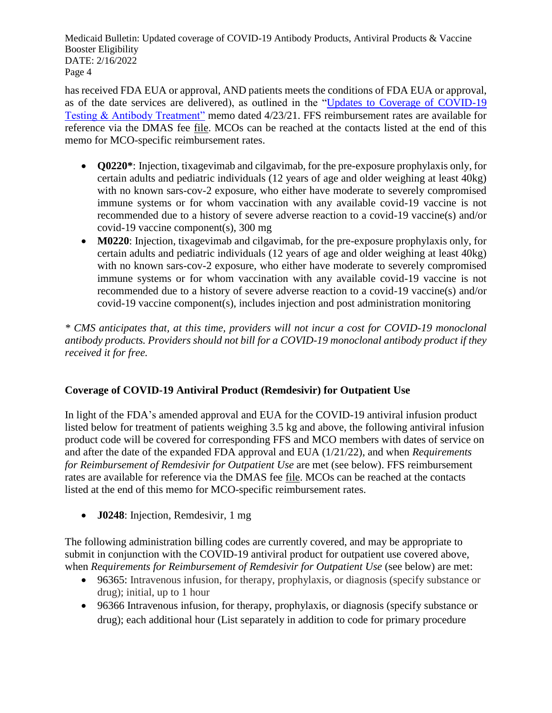has received FDA EUA or approval, AND patients meets the conditions of FDA EUA or approval, as of the date services are delivered), as outlined in the ["Updates to Coverage of COVID-19](https://www.ecm.virginiamedicaid.dmas.virginia.gov/WorkplaceXT/getContent?impersonate=true&id=%7B9FED2CFF-02F6-4BAE-ACA5-38168F37D304%7D&vsId=%7B70B6007D-0000-C647-BDDA-1840FB74E71F%7D&objectType=document&objectStoreName=VAPRODOS1)  [Testing & Antibody Treatment"](https://www.ecm.virginiamedicaid.dmas.virginia.gov/WorkplaceXT/getContent?impersonate=true&id=%7B9FED2CFF-02F6-4BAE-ACA5-38168F37D304%7D&vsId=%7B70B6007D-0000-C647-BDDA-1840FB74E71F%7D&objectType=document&objectStoreName=VAPRODOS1) memo dated 4/23/21. FFS reimbursement rates are available for reference via the DMAS fee [file.](https://www.dmas.virginia.gov/#/searchcptcodes) MCOs can be reached at the contacts listed at the end of this memo for MCO-specific reimbursement rates.

- **Q0220\***: Injection, tixagevimab and cilgavimab, for the pre-exposure prophylaxis only, for certain adults and pediatric individuals (12 years of age and older weighing at least 40kg) with no known sars-cov-2 exposure, who either have moderate to severely compromised immune systems or for whom vaccination with any available covid-19 vaccine is not recommended due to a history of severe adverse reaction to a covid-19 vaccine(s) and/or covid-19 vaccine component(s), 300 mg
- **M0220**: Injection, tixagevimab and cilgavimab, for the pre-exposure prophylaxis only, for certain adults and pediatric individuals (12 years of age and older weighing at least 40kg) with no known sars-cov-2 exposure, who either have moderate to severely compromised immune systems or for whom vaccination with any available covid-19 vaccine is not recommended due to a history of severe adverse reaction to a covid-19 vaccine(s) and/or covid-19 vaccine component(s), includes injection and post administration monitoring

*\* CMS anticipates that, at this time, providers will not incur a cost for COVID-19 monoclonal antibody products. Providers should not bill for a COVID-19 monoclonal antibody product if they received it for free.* 

# **Coverage of COVID-19 Antiviral Product (Remdesivir) for Outpatient Use**

In light of the FDA's amended approval and EUA for the COVID-19 antiviral infusion product listed below for treatment of patients weighing 3.5 kg and above, the following antiviral infusion product code will be covered for corresponding FFS and MCO members with dates of service on and after the date of the expanded FDA approval and EUA (1/21/22), and when *Requirements for Reimbursement of Remdesivir for Outpatient Use* are met (see below). FFS reimbursement rates are available for reference via the DMAS fee [file.](https://www.dmas.virginia.gov/#/searchcptcodes) MCOs can be reached at the contacts listed at the end of this memo for MCO-specific reimbursement rates.

**J0248**: Injection, Remdesivir, 1 mg

The following administration billing codes are currently covered, and may be appropriate to submit in conjunction with the COVID-19 antiviral product for outpatient use covered above, when *Requirements for Reimbursement of Remdesivir for Outpatient Use* (see below) are met:

- 96365: Intravenous infusion, for therapy, prophylaxis, or diagnosis (specify substance or drug); initial, up to 1 hour
- 96366 Intravenous infusion, for therapy, prophylaxis, or diagnosis (specify substance or drug); each additional hour (List separately in addition to code for primary procedure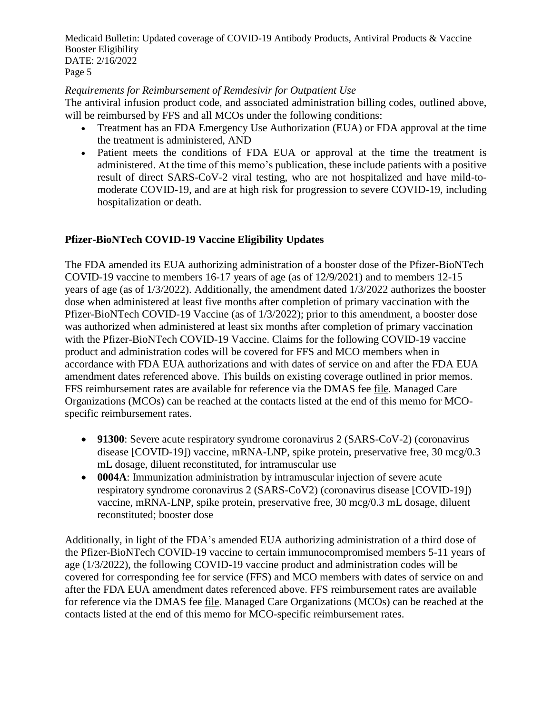### *Requirements for Reimbursement of Remdesivir for Outpatient Use*

The antiviral infusion product code, and associated administration billing codes, outlined above, will be reimbursed by FFS and all MCOs under the following conditions:

- Treatment has an FDA Emergency Use Authorization (EUA) or FDA approval at the time the treatment is administered, AND
- Patient meets the conditions of FDA EUA or approval at the time the treatment is administered. At the time of this memo's publication, these include patients with a positive result of direct SARS-CoV-2 viral testing, who are not hospitalized and have mild-tomoderate COVID-19, and are at high risk for progression to severe COVID-19, including hospitalization or death.

# **Pfizer-BioNTech COVID-19 Vaccine Eligibility Updates**

The FDA amended its EUA authorizing administration of a booster dose of the Pfizer-BioNTech COVID-19 vaccine to members 16-17 years of age (as of 12/9/2021) and to members 12-15 years of age (as of 1/3/2022). Additionally, the amendment dated 1/3/2022 authorizes the booster dose when administered at least five months after completion of primary vaccination with the Pfizer-BioNTech COVID-19 Vaccine (as of 1/3/2022); prior to this amendment, a booster dose was authorized when administered at least six months after completion of primary vaccination with the Pfizer-BioNTech COVID-19 Vaccine. Claims for the following COVID-19 vaccine product and administration codes will be covered for FFS and MCO members when in accordance with FDA EUA authorizations and with dates of service on and after the FDA EUA amendment dates referenced above. This builds on existing coverage outlined in prior memos. FFS reimbursement rates are available for reference via the DMAS fee [file.](https://www.dmas.virginia.gov/#/searchcptcodes) Managed Care Organizations (MCOs) can be reached at the contacts listed at the end of this memo for MCOspecific reimbursement rates.

- **91300**: Severe acute respiratory syndrome coronavirus 2 (SARS-CoV-2) (coronavirus disease [COVID-19]) vaccine, mRNA-LNP, spike protein, preservative free, 30 mcg/0.3 mL dosage, diluent reconstituted, for intramuscular use
- **0004A**: Immunization administration by intramuscular injection of severe acute respiratory syndrome coronavirus 2 (SARS-CoV2) (coronavirus disease [COVID-19]) vaccine, mRNA-LNP, spike protein, preservative free, 30 mcg/0.3 mL dosage, diluent reconstituted; booster dose

Additionally, in light of the FDA's amended EUA authorizing administration of a third dose of the Pfizer-BioNTech COVID-19 vaccine to certain immunocompromised members 5-11 years of age (1/3/2022), the following COVID-19 vaccine product and administration codes will be covered for corresponding fee for service (FFS) and MCO members with dates of service on and after the FDA EUA amendment dates referenced above. FFS reimbursement rates are available for reference via the DMAS fee [file.](https://www.dmas.virginia.gov/#/searchcptcodes) Managed Care Organizations (MCOs) can be reached at the contacts listed at the end of this memo for MCO-specific reimbursement rates.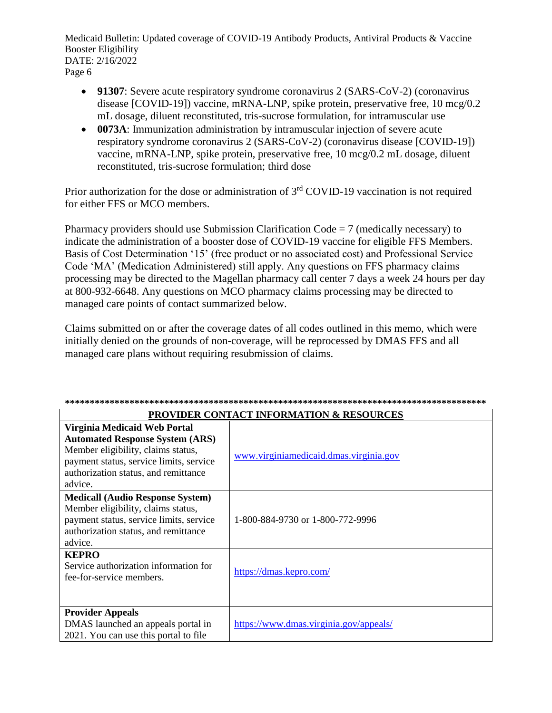- **91307**: Severe acute respiratory syndrome coronavirus 2 (SARS-CoV-2) (coronavirus disease [COVID-19]) vaccine, mRNA-LNP, spike protein, preservative free, 10 mcg/0.2 mL dosage, diluent reconstituted, tris-sucrose formulation, for intramuscular use
- **0073A**: Immunization administration by intramuscular injection of severe acute respiratory syndrome coronavirus 2 (SARS-CoV-2) (coronavirus disease [COVID-19]) vaccine, mRNA-LNP, spike protein, preservative free, 10 mcg/0.2 mL dosage, diluent reconstituted, tris-sucrose formulation; third dose

Prior authorization for the dose or administration of 3<sup>rd</sup> COVID-19 vaccination is not required for either FFS or MCO members.

Pharmacy providers should use Submission Clarification Code  $= 7$  (medically necessary) to indicate the administration of a booster dose of COVID-19 vaccine for eligible FFS Members. Basis of Cost Determination '15' (free product or no associated cost) and Professional Service Code 'MA' (Medication Administered) still apply. Any questions on FFS pharmacy claims processing may be directed to the Magellan pharmacy call center 7 days a week 24 hours per day at 800-932-6648. Any questions on MCO pharmacy claims processing may be directed to managed care points of contact summarized below.

Claims submitted on or after the coverage dates of all codes outlined in this memo, which were initially denied on the grounds of non-coverage, will be reprocessed by DMAS FFS and all managed care plans without requiring resubmission of claims.

| <b>PROVIDER CONTACT INFORMATION &amp; RESOURCES</b>                                                                                                                                                        |                                        |  |  |
|------------------------------------------------------------------------------------------------------------------------------------------------------------------------------------------------------------|----------------------------------------|--|--|
| Virginia Medicaid Web Portal<br><b>Automated Response System (ARS)</b><br>Member eligibility, claims status,<br>payment status, service limits, service<br>authorization status, and remittance<br>advice. | www.virginiamedicaid.dmas.virginia.gov |  |  |
| <b>Medicall (Audio Response System)</b><br>Member eligibility, claims status,<br>payment status, service limits, service<br>authorization status, and remittance<br>advice.                                | 1-800-884-9730 or 1-800-772-9996       |  |  |
| <b>KEPRO</b><br>Service authorization information for<br>fee-for-service members.                                                                                                                          | https://dmas.kepro.com/                |  |  |
| <b>Provider Appeals</b><br>DMAS launched an appeals portal in<br>2021. You can use this portal to file                                                                                                     | https://www.dmas.virginia.gov/appeals/ |  |  |